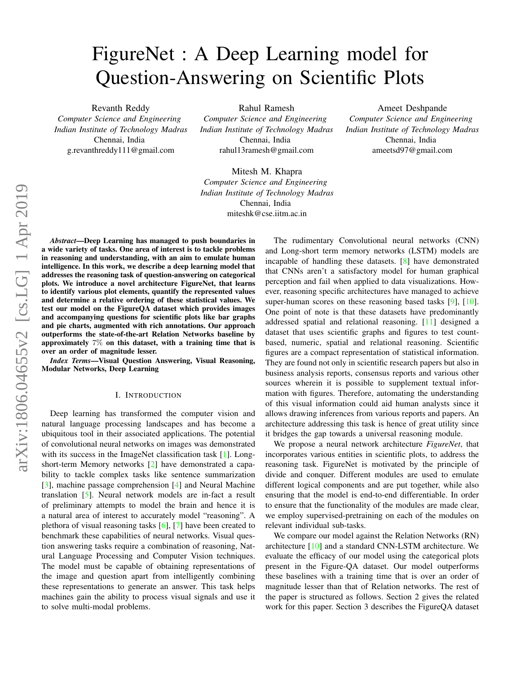# FigureNet : A Deep Learning model for Question-Answering on Scientific Plots

Revanth Reddy *Computer Science and Engineering Indian Institute of Technology Madras* Chennai, India g.revanthreddy111@gmail.com

Rahul Ramesh

*Computer Science and Engineering Indian Institute of Technology Madras* Chennai, India rahul13ramesh@gmail.com

Mitesh M. Khapra *Computer Science and Engineering Indian Institute of Technology Madras* Chennai, India miteshk@cse.iitm.ac.in

arXiv:1806.04655v2 [cs.LG] 1 Apr 2019 arXiv:1806.04655v2 [cs.LG] 1 Apr 2019

*Abstract*—Deep Learning has managed to push boundaries in a wide variety of tasks. One area of interest is to tackle problems in reasoning and understanding, with an aim to emulate human intelligence. In this work, we describe a deep learning model that addresses the reasoning task of question-answering on categorical plots. We introduce a novel architecture FigureNet, that learns to identify various plot elements, quantify the represented values and determine a relative ordering of these statistical values. We test our model on the FigureQA dataset which provides images and accompanying questions for scientific plots like bar graphs and pie charts, augmented with rich annotations. Our approach outperforms the state-of-the-art Relation Networks baseline by approximately 7% on this dataset, with a training time that is over an order of magnitude lesser.

*Index Terms*—Visual Question Answering, Visual Reasoning, Modular Networks, Deep Learning

#### I. INTRODUCTION

Deep learning has transformed the computer vision and natural language processing landscapes and has become a ubiquitous tool in their associated applications. The potential of convolutional neural networks on images was demonstrated with its success in the ImageNet classification task [\[1\]](#page-7-0). Longshort-term Memory networks [\[2\]](#page-7-1) have demonstrated a capability to tackle complex tasks like sentence summarization [\[3\]](#page-7-2), machine passage comprehension [\[4\]](#page-7-3) and Neural Machine translation [\[5\]](#page-7-4). Neural network models are in-fact a result of preliminary attempts to model the brain and hence it is a natural area of interest to accurately model "reasoning". A plethora of visual reasoning tasks [\[6\]](#page-7-5), [\[7\]](#page-7-6) have been created to benchmark these capabilities of neural networks. Visual question answering tasks require a combination of reasoning, Natural Language Processing and Computer Vision techniques. The model must be capable of obtaining representations of the image and question apart from intelligently combining these representations to generate an answer. This task helps machines gain the ability to process visual signals and use it to solve multi-modal problems.

The rudimentary Convolutional neural networks (CNN) and Long-short term memory networks (LSTM) models are incapable of handling these datasets. [\[8\]](#page-7-7) have demonstrated that CNNs aren't a satisfactory model for human graphical perception and fail when applied to data visualizations. However, reasoning specific architectures have managed to achieve super-human scores on these reasoning based tasks [\[9\]](#page-7-8), [\[10\]](#page-7-9). One point of note is that these datasets have predominantly addressed spatial and relational reasoning. [\[11\]](#page-7-10) designed a dataset that uses scientific graphs and figures to test countbased, numeric, spatial and relational reasoning. Scientific figures are a compact representation of statistical information. They are found not only in scientific research papers but also in business analysis reports, consensus reports and various other sources wherein it is possible to supplement textual information with figures. Therefore, automating the understanding of this visual information could aid human analysts since it allows drawing inferences from various reports and papers. An architecture addressing this task is hence of great utility since it bridges the gap towards a universal reasoning module.

Ameet Deshpande *Computer Science and Engineering Indian Institute of Technology Madras* Chennai, India ameetsd97@gmail.com

We propose a neural network architecture *FigureNet*, that incorporates various entities in scientific plots, to address the reasoning task. FigureNet is motivated by the principle of divide and conquer. Different modules are used to emulate different logical components and are put together, while also ensuring that the model is end-to-end differentiable. In order to ensure that the functionality of the modules are made clear, we employ supervised-pretraining on each of the modules on relevant individual sub-tasks.

We compare our model against the Relation Networks (RN) architecture [\[10\]](#page-7-9) and a standard CNN-LSTM architecture. We evaluate the efficacy of our model using the categorical plots present in the Figure-QA dataset. Our model outperforms these baselines with a training time that is over an order of magnitude lesser than that of Relation networks. The rest of the paper is structured as follows. Section 2 gives the related work for this paper. Section 3 describes the FigureQA dataset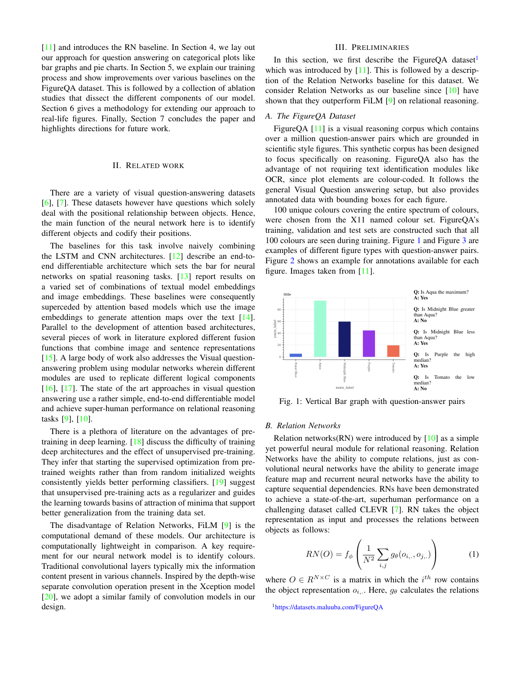[\[11\]](#page-7-10) and introduces the RN baseline. In Section 4, we lay out our approach for question answering on categorical plots like bar graphs and pie charts. In Section 5, we explain our training process and show improvements over various baselines on the FigureQA dataset. This is followed by a collection of ablation studies that dissect the different components of our model. Section 6 gives a methodology for extending our approach to real-life figures. Finally, Section 7 concludes the paper and highlights directions for future work.

#### II. RELATED WORK

There are a variety of visual question-answering datasets [\[6\]](#page-7-5), [\[7\]](#page-7-6). These datasets however have questions which solely deal with the positional relationship between objects. Hence, the main function of the neural network here is to identify different objects and codify their positions.

The baselines for this task involve naively combining the LSTM and CNN architectures. [\[12\]](#page-7-11) describe an end-toend differentiable architecture which sets the bar for neural networks on spatial reasoning tasks. [\[13\]](#page-7-12) report results on a varied set of combinations of textual model embeddings and image embeddings. These baselines were consequently superceded by attention based models which use the image embeddings to generate attention maps over the text [\[14\]](#page-7-13). Parallel to the development of attention based architectures, several pieces of work in literature explored different fusion functions that combine image and sentence representations [\[15\]](#page-7-14). A large body of work also addresses the Visual questionanswering problem using modular networks wherein different modules are used to replicate different logical components [\[16\]](#page-7-15), [\[17\]](#page-7-16). The state of the art approaches in visual question answering use a rather simple, end-to-end differentiable model and achieve super-human performance on relational reasoning tasks [\[9\]](#page-7-8), [\[10\]](#page-7-9).

There is a plethora of literature on the advantages of pretraining in deep learning. [\[18\]](#page-7-17) discuss the difficulty of training deep architectures and the effect of unsupervised pre-training. They infer that starting the supervised optimization from pretrained weights rather than from random initialized weights consistently yields better performing classifiers. [\[19\]](#page-7-18) suggest that unsupervised pre-training acts as a regularizer and guides the learning towards basins of attraction of minima that support better generalization from the training data set.

The disadvantage of Relation Networks, FiLM [\[9\]](#page-7-8) is the computational demand of these models. Our architecture is computationally lightweight in comparison. A key requirement for our neural network model is to identify colours. Traditional convolutional layers typically mix the information content present in various channels. Inspired by the depth-wise separate convolution operation present in the Xception model [\[20\]](#page-7-19), we adopt a similar family of convolution models in our design.

## III. PRELIMINARIES

In this section, we first describe the FigureQA dataset<sup>[1](#page-1-0)</sup> which was introduced by  $[11]$ . This is followed by a description of the Relation Networks baseline for this dataset. We consider Relation Networks as our baseline since [\[10\]](#page-7-9) have shown that they outperform FiLM [\[9\]](#page-7-8) on relational reasoning.

## *A. The FigureQA Dataset*

FigureQA [\[11\]](#page-7-10) is a visual reasoning corpus which contains over a million question-answer pairs which are grounded in scientific style figures. This synthetic corpus has been designed to focus specifically on reasoning. FigureQA also has the advantage of not requiring text identification modules like OCR, since plot elements are colour-coded. It follows the general Visual Question answering setup, but also provides annotated data with bounding boxes for each figure.

100 unique colours covering the entire spectrum of colours, were chosen from the X11 named colour set. FigureQA's training, validation and test sets are constructed such that all 100 colours are seen during training. Figure [1](#page-1-1) and Figure [3](#page-2-0) are examples of different figure types with question-answer pairs. Figure [2](#page-2-1) shows an example for annotations available for each figure. Images taken from [\[11\]](#page-7-10).

<span id="page-1-1"></span>

Fig. 1: Vertical Bar graph with question-answer pairs

#### *B. Relation Networks*

Relation networks $(RN)$  were introduced by  $[10]$  as a simple yet powerful neural module for relational reasoning. Relation Networks have the ability to compute relations, just as convolutional neural networks have the ability to generate image feature map and recurrent neural networks have the ability to capture sequential dependencies. RNs have been demonstrated to achieve a state-of-the-art, superhuman performance on a challenging dataset called CLEVR [\[7\]](#page-7-6). RN takes the object representation as input and processes the relations between objects as follows:

$$
RN(O) = f_{\phi} \left( \frac{1}{N^2} \sum_{i,j} g_{\theta}(o_{i,.,} o_{j,.)} \right)
$$
 (1)

where  $O \in R^{N \times C}$  is a matrix in which the  $i^{th}$  row contains the object representation  $o_i$ ... Here,  $g_\theta$  calculates the relations

<span id="page-1-0"></span><sup>1</sup><https://datasets.maluuba.com/FigureQA>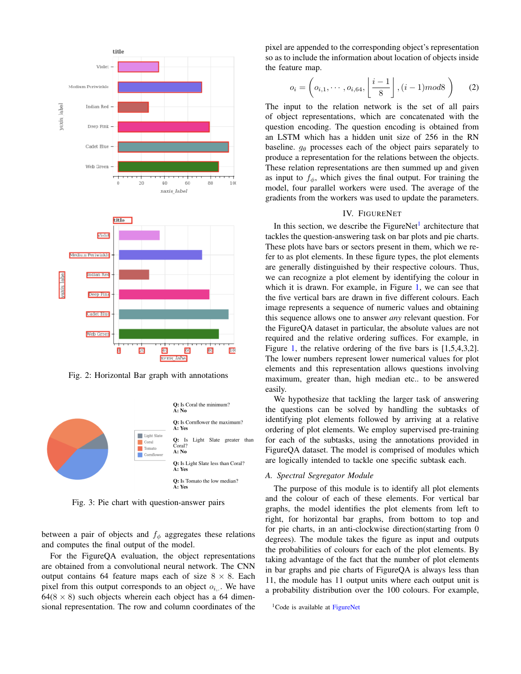<span id="page-2-1"></span>

Fig. 2: Horizontal Bar graph with annotations

<span id="page-2-0"></span>

Fig. 3: Pie chart with question-answer pairs

between a pair of objects and  $f_{\phi}$  aggregates these relations and computes the final output of the model.

For the FigureQA evaluation, the object representations are obtained from a convolutional neural network. The CNN output contains 64 feature maps each of size  $8 \times 8$ . Each pixel from this output corresponds to an object  $o_{i,j}$ . We have  $64(8 \times 8)$  such objects wherein each object has a 64 dimensional representation. The row and column coordinates of the pixel are appended to the corresponding object's representation so as to include the information about location of objects inside the feature map.

$$
o_i = \left( o_{i,1}, \cdots, o_{i,64}, \left\lfloor \frac{i-1}{8} \right\rfloor, (i-1) \bmod 8 \right) \tag{2}
$$

The input to the relation network is the set of all pairs of object representations, which are concatenated with the question encoding. The question encoding is obtained from an LSTM which has a hidden unit size of 256 in the RN baseline.  $g_{\theta}$  processes each of the object pairs separately to produce a representation for the relations between the objects. These relation representations are then summed up and given as input to  $f_{\phi}$ , which gives the final output. For training the model, four parallel workers were used. The average of the gradients from the workers was used to update the parameters.

## IV. FIGURENET

In this section, we describe the FigureNet<sup>[1](#page-2-2)</sup> architecture that tackles the question-answering task on bar plots and pie charts. These plots have bars or sectors present in them, which we refer to as plot elements. In these figure types, the plot elements are generally distinguished by their respective colours. Thus, we can recognize a plot element by identifying the colour in which it is drawn. For example, in Figure [1,](#page-1-1) we can see that the five vertical bars are drawn in five different colours. Each image represents a sequence of numeric values and obtaining this sequence allows one to answer *any* relevant question. For the FigureQA dataset in particular, the absolute values are not required and the relative ordering suffices. For example, in Figure [1,](#page-1-1) the relative ordering of the five bars is [1,5,4,3,2]. The lower numbers represent lower numerical values for plot elements and this representation allows questions involving maximum, greater than, high median etc.. to be answered easily.

We hypothesize that tackling the larger task of answering the questions can be solved by handling the subtasks of identifying plot elements followed by arriving at a relative ordering of plot elements. We employ supervised pre-training for each of the subtasks, using the annotations provided in FigureQA dataset. The model is comprised of modules which are logically intended to tackle one specific subtask each.

## *A. Spectral Segregator Module*

The purpose of this module is to identify all plot elements and the colour of each of these elements. For vertical bar graphs, the model identifies the plot elements from left to right, for horizontal bar graphs, from bottom to top and for pie charts, in an anti-clockwise direction(starting from 0 degrees). The module takes the figure as input and outputs the probabilities of colours for each of the plot elements. By taking advantage of the fact that the number of plot elements in bar graphs and pie charts of FigureQA is always less than 11, the module has 11 output units where each output unit is a probability distribution over the 100 colours. For example,

<span id="page-2-2"></span><sup>&</sup>lt;sup>1</sup>Code is available at [FigureNet](https://github.com/revanth1996/FigureNet)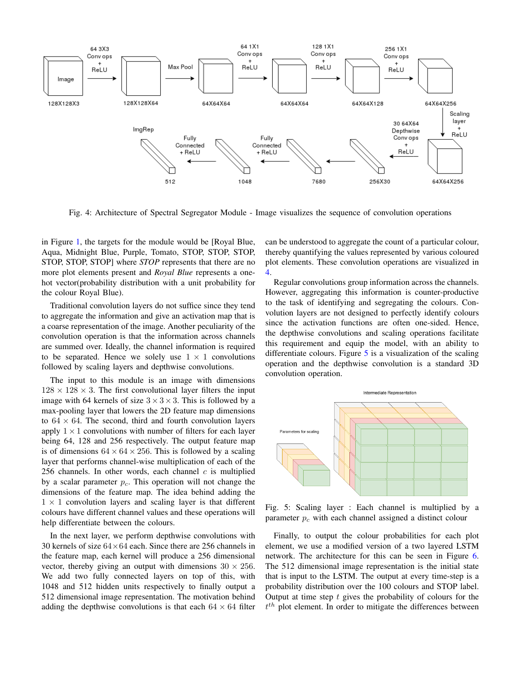<span id="page-3-0"></span>

Fig. 4: Architecture of Spectral Segregator Module - Image visualizes the sequence of convolution operations

in Figure [1,](#page-1-1) the targets for the module would be [Royal Blue, Aqua, Midnight Blue, Purple, Tomato, STOP, STOP, STOP, STOP, STOP, STOP] where *STOP* represents that there are no more plot elements present and *Royal Blue* represents a onehot vector(probability distribution with a unit probability for the colour Royal Blue).

Traditional convolution layers do not suffice since they tend to aggregate the information and give an activation map that is a coarse representation of the image. Another peculiarity of the convolution operation is that the information across channels are summed over. Ideally, the channel information is required to be separated. Hence we solely use  $1 \times 1$  convolutions followed by scaling layers and depthwise convolutions.

The input to this module is an image with dimensions  $128 \times 128 \times 3$ . The first convolutional layer filters the input image with 64 kernels of size  $3 \times 3 \times 3$ . This is followed by a max-pooling layer that lowers the 2D feature map dimensions to  $64 \times 64$ . The second, third and fourth convolution layers apply  $1 \times 1$  convolutions with number of filters for each layer being 64, 128 and 256 respectively. The output feature map is of dimensions  $64 \times 64 \times 256$ . This is followed by a scaling layer that performs channel-wise multiplication of each of the 256 channels. In other words, each channel  $c$  is multiplied by a scalar parameter  $p_c$ . This operation will not change the dimensions of the feature map. The idea behind adding the  $1 \times 1$  convolution layers and scaling layer is that different colours have different channel values and these operations will help differentiate between the colours.

In the next layer, we perform depthwise convolutions with 30 kernels of size  $64\times64$  each. Since there are 256 channels in the feature map, each kernel will produce a 256 dimensional vector, thereby giving an output with dimensions  $30 \times 256$ . We add two fully connected layers on top of this, with 1048 and 512 hidden units respectively to finally output a 512 dimensional image representation. The motivation behind adding the depthwise convolutions is that each  $64 \times 64$  filter can be understood to aggregate the count of a particular colour, thereby quantifying the values represented by various coloured plot elements. These convolution operations are visualized in [4.](#page-3-0)

Regular convolutions group information across the channels. However, aggregating this information is counter-productive to the task of identifying and segregating the colours. Convolution layers are not designed to perfectly identify colours since the activation functions are often one-sided. Hence, the depthwise convolutions and scaling operations facilitate this requirement and equip the model, with an ability to differentiate colours. Figure [5](#page-3-1) is a visualization of the scaling operation and the depthwise convolution is a standard 3D convolution operation.

<span id="page-3-1"></span>

Fig. 5: Scaling layer : Each channel is multiplied by a parameter  $p_c$  with each channel assigned a distinct colour

Finally, to output the colour probabilities for each plot element, we use a modified version of a two layered LSTM network. The architecture for this can be seen in Figure [6.](#page-4-0) The 512 dimensional image representation is the initial state that is input to the LSTM. The output at every time-step is a probability distribution over the 100 colours and STOP label. Output at time step  $t$  gives the probability of colours for the  $t^{th}$  plot element. In order to mitigate the differences between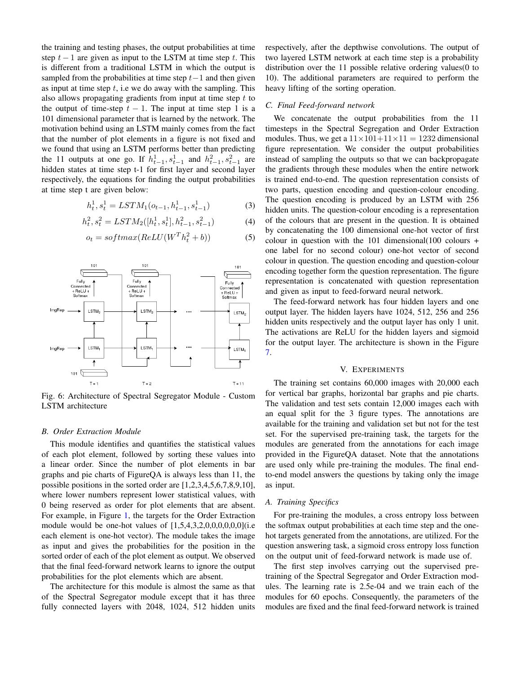the training and testing phases, the output probabilities at time step  $t - 1$  are given as input to the LSTM at time step t. This is different from a traditional LSTM in which the output is sampled from the probabilities at time step  $t-1$  and then given as input at time step  $t$ , i.e we do away with the sampling. This also allows propagating gradients from input at time step  $t$  to the output of time-step  $t - 1$ . The input at time step 1 is a 101 dimensional parameter that is learned by the network. The motivation behind using an LSTM mainly comes from the fact that the number of plot elements in a figure is not fixed and we found that using an LSTM performs better than predicting the 11 outputs at one go. If  $h_{t-1}^1, s_{t-1}^1$  and  $h_{t-1}^2, s_{t-1}^2$  are hidden states at time step t-1 for first layer and second layer respectively, the equations for finding the output probabilities at time step t are given below:

$$
h_t^1, s_t^1 = LSTM_1(o_{t-1}, h_{t-1}^1, s_{t-1}^1)
$$
 (3)

$$
h_t^2, s_t^2 = LSTM_2([h_t^1, s_t^1], h_{t-1}^2, s_{t-1}^2)
$$
 (4)

$$
o_t = softmax(ReLU(W^T h_t^2 + b))
$$
 (5)

<span id="page-4-0"></span>

Fig. 6: Architecture of Spectral Segregator Module - Custom LSTM architecture

## *B. Order Extraction Module*

This module identifies and quantifies the statistical values of each plot element, followed by sorting these values into a linear order. Since the number of plot elements in bar graphs and pie charts of FigureQA is always less than 11, the possible positions in the sorted order are [1,2,3,4,5,6,7,8,9,10], where lower numbers represent lower statistical values, with 0 being reserved as order for plot elements that are absent. For example, in Figure [1,](#page-1-1) the targets for the Order Extraction module would be one-hot values of  $[1,5,4,3,2,0,0,0,0,0]$ (i.e each element is one-hot vector). The module takes the image as input and gives the probabilities for the position in the sorted order of each of the plot element as output. We observed that the final feed-forward network learns to ignore the output probabilities for the plot elements which are absent.

The architecture for this module is almost the same as that of the Spectral Segregator module except that it has three fully connected layers with 2048, 1024, 512 hidden units respectively, after the depthwise convolutions. The output of two layered LSTM network at each time step is a probability distribution over the 11 possible relative ordering values (0 to 10). The additional parameters are required to perform the heavy lifting of the sorting operation.

#### *C. Final Feed-forward network*

We concatenate the output probabilities from the 11 timesteps in the Spectral Segregation and Order Extraction modules. Thus, we get a  $11 \times 101 + 11 \times 11 = 1232$  dimensional figure representation. We consider the output probabilities instead of sampling the outputs so that we can backpropagate the gradients through these modules when the entire network is trained end-to-end. The question representation consists of two parts, question encoding and question-colour encoding. The question encoding is produced by an LSTM with 256 hidden units. The question-colour encoding is a representation of the colours that are present in the question. It is obtained by concatenating the 100 dimensional one-hot vector of first colour in question with the  $101$  dimensional(100 colours + one label for no second colour) one-hot vector of second colour in question. The question encoding and question-colour encoding together form the question representation. The figure representation is concatenated with question representation and given as input to feed-forward neural network.

The feed-forward network has four hidden layers and one output layer. The hidden layers have 1024, 512, 256 and 256 hidden units respectively and the output layer has only 1 unit. The activations are ReLU for the hidden layers and sigmoid for the output layer. The architecture is shown in the Figure [7.](#page-5-0)

## V. EXPERIMENTS

The training set contains 60,000 images with 20,000 each for vertical bar graphs, horizontal bar graphs and pie charts. The validation and test sets contain 12,000 images each with an equal split for the 3 figure types. The annotations are available for the training and validation set but not for the test set. For the supervised pre-training task, the targets for the modules are generated from the annotations for each image provided in the FigureQA dataset. Note that the annotations are used only while pre-training the modules. The final endto-end model answers the questions by taking only the image as input.

#### *A. Training Specifics*

For pre-training the modules, a cross entropy loss between the softmax output probabilities at each time step and the onehot targets generated from the annotations, are utilized. For the question answering task, a sigmoid cross entropy loss function on the output unit of feed-forward network is made use of.

The first step involves carrying out the supervised pretraining of the Spectral Segregator and Order Extraction modules. The learning rate is 2.5e-04 and we train each of the modules for 60 epochs. Consequently, the parameters of the modules are fixed and the final feed-forward network is trained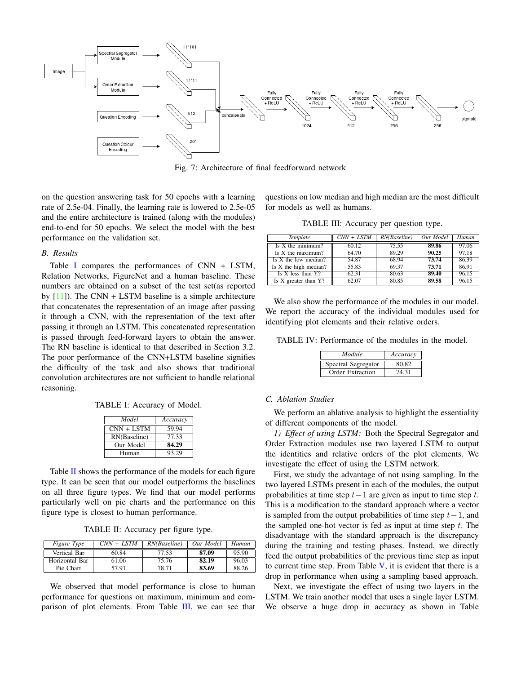<span id="page-5-0"></span>

Fig. 7: Architecture of final feedforward network

on the question answering task for 50 epochs with a learning rate of 2.5e-04. Finally, the learning rate is lowered to 2.5e-05 and the entire architecture is trained (along with the modules) end-to-end for 50 epochs. We select the model with the best performance on the validation set.

## *B. Results*

Table [I](#page-5-1) compares the performances of CNN + LSTM, Relation Networks, FigureNet and a human baseline. These numbers are obtained on a subset of the test set(as reported by  $[11]$ ). The CNN + LSTM baseline is a simple architecture that concatenates the representation of an image after passing it through a CNN, with the representation of the text after passing it through an LSTM. This concatenated representation is passed through feed-forward layers to obtain the answer. The RN baseline is identical to that described in Section 3.2. The poor performance of the CNN+LSTM baseline signifies the difficulty of the task and also shows that traditional convolution architectures are not sufficient to handle relational reasoning.

<span id="page-5-1"></span>TABLE I: Accuracy of Model.

| Model        | Accuracy |
|--------------|----------|
| $CNN + LSTM$ | 59.94    |
| RN(Baseline) | 77.33    |
| Our Model    | 84.29    |
| Human        | 93.29    |

Table  $II$  shows the performance of the models for each figure type. It can be seen that our model outperforms the baselines on all three figure types. We find that our model performs particularly well on pie charts and the performance on this figure type is closest to human performance.

TABLE II: Accuracy per figure type.

<span id="page-5-2"></span>

| <i>Figure Type</i> | $CNN + LSTM$ | RN(Baseline) | Our Model | Human |
|--------------------|--------------|--------------|-----------|-------|
| Vertical Bar       | 60.84        | 77.53        | 87.09     | 95.90 |
| Horizontal Bar     | 61.06        | 75.76        | 82.19     | 96.03 |
| Pie Chart          | 57.91        | 78.71        | 83.69     | 88 26 |

We observed that model performance is close to human performance for questions on maximum, minimum and comparison of plot elements. From Table [III,](#page-5-3) we can see that questions on low median and high median are the most difficult for models as well as humans.

TABLE III: Accuracy per question type.

<span id="page-5-3"></span>

| Template                | $CNN + LSTM$ | RN(Baseline) | Our Model | Human |
|-------------------------|--------------|--------------|-----------|-------|
| Is X the minimum?       | 60.12        | 75.55        | 89.86     | 97.06 |
| Is X the maximum?       | 64.70        | 89.29        | 90.25     | 97.18 |
| Is X the low median?    | 54.87        | 68.94        | 73.74     | 86.39 |
| Is $X$ the high median? | 55.83        | 69.37        | 73.71     | 86.91 |
| Is $X$ less than $Y$ ?  | 62.31        | 80.63        | 89.40     | 96.15 |
| Is X greater than Y?    | 62.07        | 80.85        | 89.58     | 96.15 |

We also show the performance of the modules in our model. We report the accuracy of the individual modules used for identifying plot elements and their relative orders.

TABLE IV: Performance of the modules in the model.

| Module                  | Accuracy |
|-------------------------|----------|
| Spectral Segregator     | 80.82    |
| <b>Order Extraction</b> | 74.31    |

## *C. Ablation Studies*

We perform an ablative analysis to highlight the essentiality of different components of the model.

*1) Effect of using LSTM:* Both the Spectral Segregator and Order Extraction modules use two layered LSTM to output the identities and relative orders of the plot elements. We investigate the effect of using the LSTM network.

First, we study the advantage of not using sampling. In the two layered LSTMs present in each of the modules, the output probabilities at time step  $t-1$  are given as input to time step  $t$ . This is a modification to the standard approach where a vector is sampled from the output probabilities of time step  $t-1$ , and the sampled one-hot vector is fed as input at time step  $t$ . The disadvantage with the standard approach is the discrepancy during the training and testing phases. Instead, we directly feed the output probabilities of the previous time step as input to current time step. From Table  $V$ , it is evident that there is a drop in performance when using a sampling based approach.

Next, we investigate the effect of using two layers in the LSTM. We train another model that uses a single layer LSTM. We observe a huge drop in accuracy as shown in Table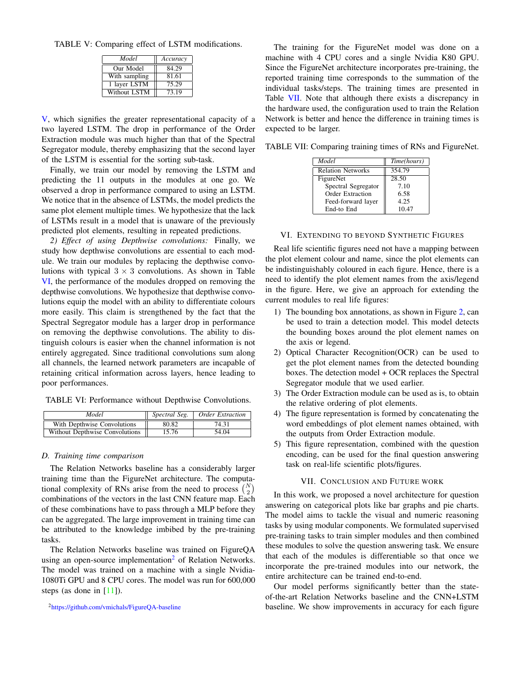<span id="page-6-0"></span>TABLE V: Comparing effect of LSTM modifications.

| Model         | Accuracy |
|---------------|----------|
| Our Model     | 84.29    |
| With sampling | 81.61    |
| 1 layer LSTM  | 75.29    |
| Without LSTM  | 73.19    |

[V,](#page-6-0) which signifies the greater representational capacity of a two layered LSTM. The drop in performance of the Order Extraction module was much higher than that of the Spectral Segregator module, thereby emphasizing that the second layer of the LSTM is essential for the sorting sub-task.

Finally, we train our model by removing the LSTM and predicting the 11 outputs in the modules at one go. We observed a drop in performance compared to using an LSTM. We notice that in the absence of LSTMs, the model predicts the same plot element multiple times. We hypothesize that the lack of LSTMs result in a model that is unaware of the previously predicted plot elements, resulting in repeated predictions.

*2) Effect of using Depthwise convolutions:* Finally, we study how depthwise convolutions are essential to each module. We train our modules by replacing the depthwise convolutions with typical  $3 \times 3$  convolutions. As shown in Table [VI,](#page-6-1) the performance of the modules dropped on removing the depthwise convolutions. We hypothesize that depthwise convolutions equip the model with an ability to differentiate colours more easily. This claim is strengthened by the fact that the Spectral Segregator module has a larger drop in performance on removing the depthwise convolutions. The ability to distinguish colours is easier when the channel information is not entirely aggregated. Since traditional convolutions sum along all channels, the learned network parameters are incapable of retaining critical information across layers, hence leading to poor performances.

<span id="page-6-1"></span>TABLE VI: Performance without Depthwise Convolutions.

| Model                          | Spectral Seg. | Order Extraction |
|--------------------------------|---------------|------------------|
| With Depthwise Convolutions    | 80.82         | 74.31            |
| Without Depthwise Convolutions | 15.76         | 54.04            |

#### *D. Training time comparison*

The Relation Networks baseline has a considerably larger training time than the FigureNet architecture. The computational complexity of RNs arise from the need to process  $\binom{N}{2}$ combinations of the vectors in the last CNN feature map. Each of these combinations have to pass through a MLP before they can be aggregated. The large improvement in training time can be attributed to the knowledge imbibed by the pre-training tasks.

The Relation Networks baseline was trained on FigureQA using an open-source implementation<sup>[2](#page-6-2)</sup> of Relation Networks. The model was trained on a machine with a single Nvidia-1080Ti GPU and 8 CPU cores. The model was run for 600,000 steps (as done in  $[11]$ ).

<span id="page-6-2"></span><sup>2</sup><https://github.com/vmichals/FigureQA-baseline>

The training for the FigureNet model was done on a machine with 4 CPU cores and a single Nvidia K80 GPU. Since the FigureNet architecture incorporates pre-training, the reported training time corresponds to the summation of the individual tasks/steps. The training times are presented in Table [VII.](#page-6-3) Note that although there exists a discrepancy in the hardware used, the configuration used to train the Relation Network is better and hence the difference in training times is expected to be larger.

<span id="page-6-3"></span>TABLE VII: Comparing training times of RNs and FigureNet.

| Model                    | Time(hours) |
|--------------------------|-------------|
| <b>Relation Networks</b> | 354.79      |
| FigureNet                | 28.50       |
| Spectral Segregator      | 7.10        |
| <b>Order Extraction</b>  | 6.58        |
| Feed-forward layer       | 4.25        |
| End-to End               | 10.47       |

#### VI. EXTENDING TO BEYOND SYNTHETIC FIGURES

Real life scientific figures need not have a mapping between the plot element colour and name, since the plot elements can be indistinguishably coloured in each figure. Hence, there is a need to identify the plot element names from the axis/legend in the figure. Here, we give an approach for extending the current modules to real life figures:

- 1) The bounding box annotations, as shown in Figure [2,](#page-2-1) can be used to train a detection model. This model detects the bounding boxes around the plot element names on the axis or legend.
- 2) Optical Character Recognition(OCR) can be used to get the plot element names from the detected bounding boxes. The detection model + OCR replaces the Spectral Segregator module that we used earlier.
- 3) The Order Extraction module can be used as is, to obtain the relative ordering of plot elements.
- 4) The figure representation is formed by concatenating the word embeddings of plot element names obtained, with the outputs from Order Extraction module.
- 5) This figure representation, combined with the question encoding, can be used for the final question answering task on real-life scientific plots/figures.

## VII. CONCLUSION AND FUTURE WORK

In this work, we proposed a novel architecture for question answering on categorical plots like bar graphs and pie charts. The model aims to tackle the visual and numeric reasoning tasks by using modular components. We formulated supervised pre-training tasks to train simpler modules and then combined these modules to solve the question answering task. We ensure that each of the modules is differentiable so that once we incorporate the pre-trained modules into our network, the entire architecture can be trained end-to-end.

Our model performs significantly better than the stateof-the-art Relation Networks baseline and the CNN+LSTM baseline. We show improvements in accuracy for each figure